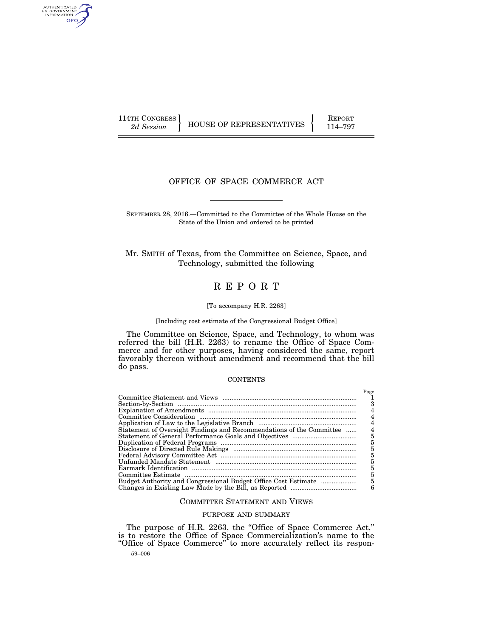AUTHENTICATED<br>U.S. GOVERNMENT<br>INFORMATION GPO

114TH CONGRESS HOUSE OF REPRESENTATIVES FEPORT 114–797

## OFFICE OF SPACE COMMERCE ACT

SEPTEMBER 28, 2016.—Committed to the Committee of the Whole House on the State of the Union and ordered to be printed

Mr. SMITH of Texas, from the Committee on Science, Space, and Technology, submitted the following

# R E P O R T

#### [To accompany H.R. 2263]

[Including cost estimate of the Congressional Budget Office]

The Committee on Science, Space, and Technology, to whom was referred the bill (H.R. 2263) to rename the Office of Space Commerce and for other purposes, having considered the same, report favorably thereon without amendment and recommend that the bill do pass.

#### **CONTENTS**

|                                                                      | Page |
|----------------------------------------------------------------------|------|
|                                                                      |      |
|                                                                      |      |
|                                                                      |      |
|                                                                      |      |
|                                                                      |      |
| Statement of Oversight Findings and Recommendations of the Committee | 4    |
|                                                                      | 5    |
|                                                                      | 5    |
|                                                                      | 5    |
|                                                                      | 5    |
|                                                                      | 5    |
|                                                                      | 5    |
|                                                                      | 5    |
| Budget Authority and Congressional Budget Office Cost Estimate       | 5    |
|                                                                      | 6    |

#### COMMITTEE STATEMENT AND VIEWS

#### PURPOSE AND SUMMARY

59–006 The purpose of H.R. 2263, the "Office of Space Commerce Act," is to restore the Office of Space Commercialization's name to the ''Office of Space Commerce'' to more accurately reflect its respon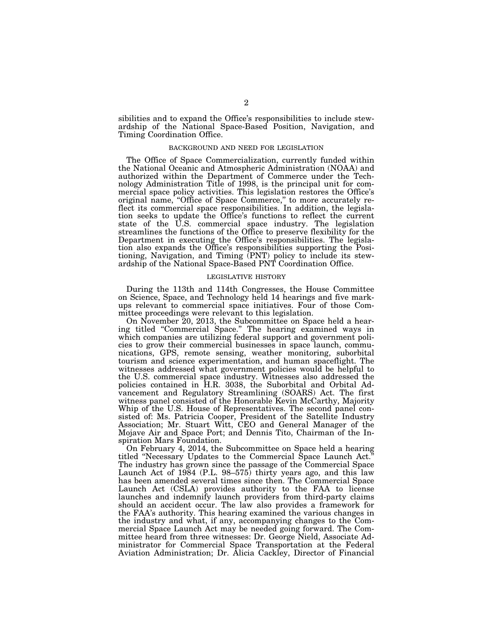sibilities and to expand the Office's responsibilities to include stewardship of the National Space-Based Position, Navigation, and Timing Coordination Office.

#### BACKGROUND AND NEED FOR LEGISLATION

The Office of Space Commercialization, currently funded within the National Oceanic and Atmospheric Administration (NOAA) and authorized within the Department of Commerce under the Technology Administration Title of 1998, is the principal unit for commercial space policy activities. This legislation restores the Office's original name, ''Office of Space Commerce,'' to more accurately reflect its commercial space responsibilities. In addition, the legislation seeks to update the Office's functions to reflect the current state of the U.S. commercial space industry. The legislation streamlines the functions of the Office to preserve flexibility for the Department in executing the Office's responsibilities. The legislation also expands the Office's responsibilities supporting the Positioning, Navigation, and Timing (PNT) policy to include its stewardship of the National Space-Based PNT Coordination Office.

#### LEGISLATIVE HISTORY

During the 113th and 114th Congresses, the House Committee on Science, Space, and Technology held 14 hearings and five markups relevant to commercial space initiatives. Four of those Committee proceedings were relevant to this legislation.

On November 20, 2013, the Subcommittee on Space held a hearing titled "Commercial Space." The hearing examined ways in which companies are utilizing federal support and government policies to grow their commercial businesses in space launch, communications, GPS, remote sensing, weather monitoring, suborbital tourism and science experimentation, and human spaceflight. The witnesses addressed what government policies would be helpful to the U.S. commercial space industry. Witnesses also addressed the policies contained in H.R. 3038, the Suborbital and Orbital Advancement and Regulatory Streamlining (SOARS) Act. The first witness panel consisted of the Honorable Kevin McCarthy, Majority Whip of the U.S. House of Representatives. The second panel consisted of: Ms. Patricia Cooper, President of the Satellite Industry Association; Mr. Stuart Witt, CEO and General Manager of the Mojave Air and Space Port; and Dennis Tito, Chairman of the Inspiration Mars Foundation.

On February 4, 2014, the Subcommittee on Space held a hearing titled ''Necessary Updates to the Commercial Space Launch Act.'' The industry has grown since the passage of the Commercial Space Launch Act of 1984 (P.L. 98–575) thirty years ago, and this law has been amended several times since then. The Commercial Space Launch Act (CSLA) provides authority to the FAA to license launches and indemnify launch providers from third-party claims should an accident occur. The law also provides a framework for the FAA's authority. This hearing examined the various changes in the industry and what, if any, accompanying changes to the Commercial Space Launch Act may be needed going forward. The Committee heard from three witnesses: Dr. George Nield, Associate Administrator for Commercial Space Transportation at the Federal Aviation Administration; Dr. Alicia Cackley, Director of Financial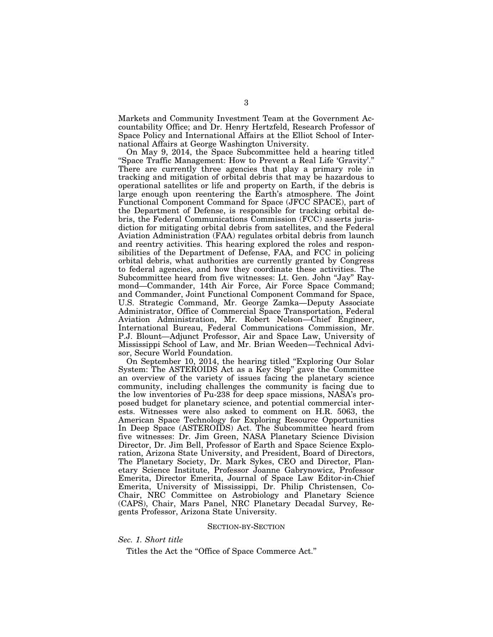Markets and Community Investment Team at the Government Accountability Office; and Dr. Henry Hertzfeld, Research Professor of Space Policy and International Affairs at the Elliot School of International Affairs at George Washington University.

On May 9, 2014, the Space Subcommittee held a hearing titled ''Space Traffic Management: How to Prevent a Real Life 'Gravity'.'' There are currently three agencies that play a primary role in tracking and mitigation of orbital debris that may be hazardous to operational satellites or life and property on Earth, if the debris is large enough upon reentering the Earth's atmosphere. The Joint Functional Component Command for Space (JFCC SPACE), part of the Department of Defense, is responsible for tracking orbital debris, the Federal Communications Commission (FCC) asserts jurisdiction for mitigating orbital debris from satellites, and the Federal Aviation Administration (FAA) regulates orbital debris from launch and reentry activities. This hearing explored the roles and responsibilities of the Department of Defense, FAA, and FCC in policing orbital debris, what authorities are currently granted by Congress to federal agencies, and how they coordinate these activities. The Subcommittee heard from five witnesses: Lt. Gen. John ''Jay'' Raymond—Commander, 14th Air Force, Air Force Space Command; and Commander, Joint Functional Component Command for Space, U.S. Strategic Command, Mr. George Zamka—Deputy Associate Administrator, Office of Commercial Space Transportation, Federal Aviation Administration, Mr. Robert Nelson—Chief Engineer, International Bureau, Federal Communications Commission, Mr. P.J. Blount—Adjunct Professor, Air and Space Law, University of Mississippi School of Law, and Mr. Brian Weeden—Technical Advisor, Secure World Foundation.

On September 10, 2014, the hearing titled ''Exploring Our Solar System: The ASTEROIDS Act as a Key Step'' gave the Committee an overview of the variety of issues facing the planetary science community, including challenges the community is facing due to the low inventories of Pu-238 for deep space missions, NASA's proposed budget for planetary science, and potential commercial interests. Witnesses were also asked to comment on H.R. 5063, the American Space Technology for Exploring Resource Opportunities In Deep Space (ASTEROIDS) Act. The Subcommittee heard from five witnesses: Dr. Jim Green, NASA Planetary Science Division Director, Dr. Jim Bell, Professor of Earth and Space Science Exploration, Arizona State University, and President, Board of Directors, The Planetary Society, Dr. Mark Sykes, CEO and Director, Planetary Science Institute, Professor Joanne Gabrynowicz, Professor Emerita, Director Emerita, Journal of Space Law Editor-in-Chief Emerita, University of Mississippi, Dr. Philip Christensen, Co-Chair, NRC Committee on Astrobiology and Planetary Science (CAPS), Chair, Mars Panel, NRC Planetary Decadal Survey, Regents Professor, Arizona State University.

#### SECTION-BY-SECTION

#### *Sec. 1. Short title*

Titles the Act the "Office of Space Commerce Act."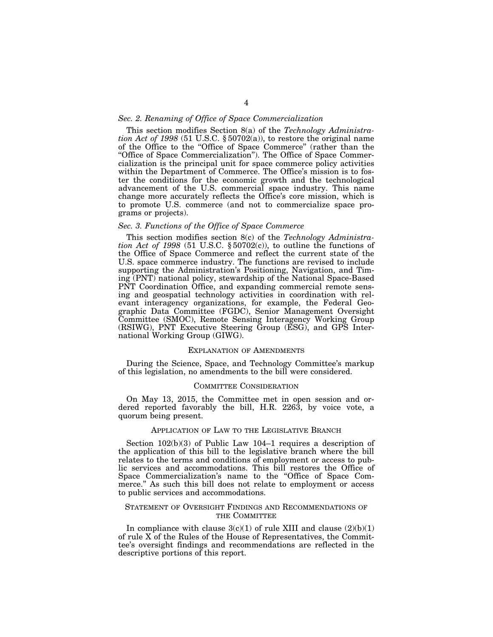#### *Sec. 2. Renaming of Office of Space Commercialization*

This section modifies Section 8(a) of the *Technology Administration Act of 1998* (51 U.S.C.  $\S 50702(a)$ ), to restore the original name of the Office to the ''Office of Space Commerce'' (rather than the ''Office of Space Commercialization''). The Office of Space Commercialization is the principal unit for space commerce policy activities within the Department of Commerce. The Office's mission is to foster the conditions for the economic growth and the technological advancement of the U.S. commercial space industry. This name change more accurately reflects the Office's core mission, which is to promote U.S. commerce (and not to commercialize space programs or projects).

#### *Sec. 3. Functions of the Office of Space Commerce*

This section modifies section 8(c) of the *Technology Administration Act of 1998* (51 U.S.C.  $\S 50702(c)$ ), to outline the functions of the Office of Space Commerce and reflect the current state of the U.S. space commerce industry. The functions are revised to include supporting the Administration's Positioning, Navigation, and Timing (PNT) national policy, stewardship of the National Space-Based PNT Coordination Office, and expanding commercial remote sensing and geospatial technology activities in coordination with relevant interagency organizations, for example, the Federal Geographic Data Committee (FGDC), Senior Management Oversight Committee (SMOC), Remote Sensing Interagency Working Group (RSIWG), PNT Executive Steering Group (ESG), and GPS International Working Group (GIWG).

#### EXPLANATION OF AMENDMENTS

During the Science, Space, and Technology Committee's markup of this legislation, no amendments to the bill were considered.

#### COMMITTEE CONSIDERATION

On May 13, 2015, the Committee met in open session and ordered reported favorably the bill, H.R. 2263, by voice vote, a quorum being present.

#### APPLICATION OF LAW TO THE LEGISLATIVE BRANCH

Section 102(b)(3) of Public Law 104–1 requires a description of the application of this bill to the legislative branch where the bill relates to the terms and conditions of employment or access to public services and accommodations. This bill restores the Office of Space Commercialization's name to the ''Office of Space Commerce.'' As such this bill does not relate to employment or access to public services and accommodations.

#### STATEMENT OF OVERSIGHT FINDINGS AND RECOMMENDATIONS OF THE COMMITTEE

In compliance with clause  $3(c)(1)$  of rule XIII and clause  $(2)(b)(1)$ of rule X of the Rules of the House of Representatives, the Committee's oversight findings and recommendations are reflected in the descriptive portions of this report.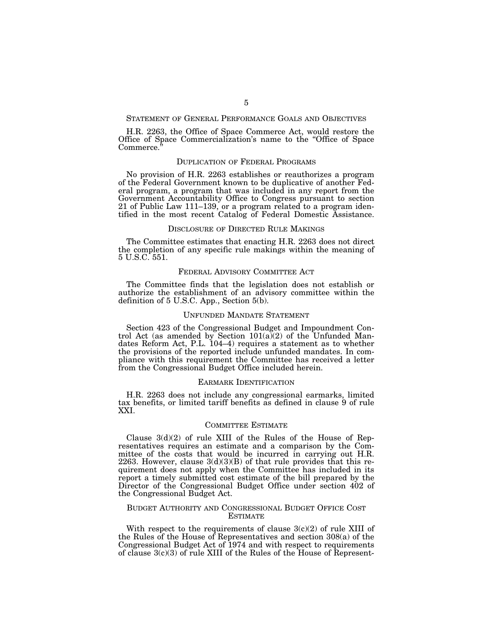#### STATEMENT OF GENERAL PERFORMANCE GOALS AND OBJECTIVES

H.R. 2263, the Office of Space Commerce Act, would restore the Office of Space Commercialization's name to the ''Office of Space Commerce.

#### DUPLICATION OF FEDERAL PROGRAMS

No provision of H.R. 2263 establishes or reauthorizes a program of the Federal Government known to be duplicative of another Federal program, a program that was included in any report from the Government Accountability Office to Congress pursuant to section 21 of Public Law 111–139, or a program related to a program identified in the most recent Catalog of Federal Domestic Assistance.

#### DISCLOSURE OF DIRECTED RULE MAKINGS

The Committee estimates that enacting H.R. 2263 does not direct the completion of any specific rule makings within the meaning of 5 U.S.C. 551.

#### FEDERAL ADVISORY COMMITTEE ACT

The Committee finds that the legislation does not establish or authorize the establishment of an advisory committee within the definition of 5 U.S.C. App., Section 5(b).

#### UNFUNDED MANDATE STATEMENT

Section 423 of the Congressional Budget and Impoundment Control Act (as amended by Section  $101(a)(2)$  of the Unfunded Mandates Reform Act, P.L. 104–4) requires a statement as to whether the provisions of the reported include unfunded mandates. In compliance with this requirement the Committee has received a letter from the Congressional Budget Office included herein.

#### EARMARK IDENTIFICATION

H.R. 2263 does not include any congressional earmarks, limited tax benefits, or limited tariff benefits as defined in clause 9 of rule XXI.

#### COMMITTEE ESTIMATE

Clause  $3(d)(2)$  of rule XIII of the Rules of the House of Representatives requires an estimate and a comparison by the Committee of the costs that would be incurred in carrying out H.R. 2263. However, clause  $3(d)(3)(B)$  of that rule provides that this requirement does not apply when the Committee has included in its report a timely submitted cost estimate of the bill prepared by the Director of the Congressional Budget Office under section 402 of the Congressional Budget Act.

#### BUDGET AUTHORITY AND CONGRESSIONAL BUDGET OFFICE COST ESTIMATE

With respect to the requirements of clause  $3(c)(2)$  of rule XIII of the Rules of the House of Representatives and section 308(a) of the Congressional Budget Act of 1974 and with respect to requirements of clause  $3(c)(3)$  of rule XIII of the Rules of the House of Represent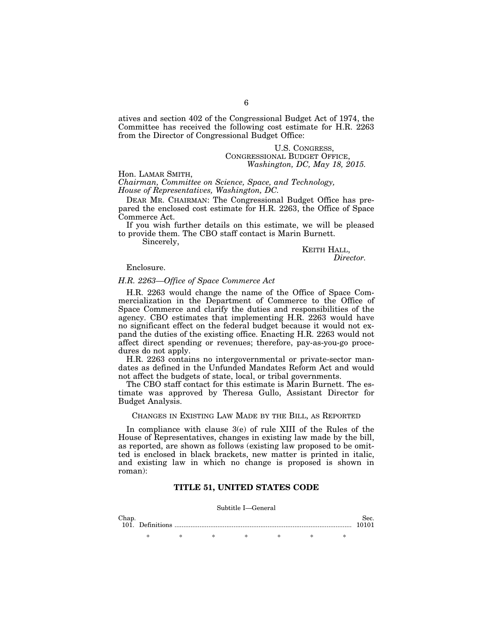atives and section 402 of the Congressional Budget Act of 1974, the Committee has received the following cost estimate for H.R. 2263 from the Director of Congressional Budget Office:

# U.S. CONGRESS, CONGRESSIONAL BUDGET OFFICE, *Washington, DC, May 18, 2015.*

#### Hon. LAMAR SMITH,

*Chairman, Committee on Science, Space, and Technology, House of Representatives, Washington, DC.* 

DEAR MR. CHAIRMAN: The Congressional Budget Office has prepared the enclosed cost estimate for H.R. 2263, the Office of Space Commerce Act.

If you wish further details on this estimate, we will be pleased to provide them. The CBO staff contact is Marin Burnett.

Sincerely,

# KEITH HALL, *Director.*

#### Enclosure.

#### *H.R. 2263—Office of Space Commerce Act*

H.R. 2263 would change the name of the Office of Space Commercialization in the Department of Commerce to the Office of Space Commerce and clarify the duties and responsibilities of the agency. CBO estimates that implementing H.R. 2263 would have no significant effect on the federal budget because it would not expand the duties of the existing office. Enacting H.R. 2263 would not affect direct spending or revenues; therefore, pay-as-you-go procedures do not apply.

H.R. 2263 contains no intergovernmental or private-sector mandates as defined in the Unfunded Mandates Reform Act and would not affect the budgets of state, local, or tribal governments.

The CBO staff contact for this estimate is Marin Burnett. The estimate was approved by Theresa Gullo, Assistant Director for Budget Analysis.

#### CHANGES IN EXISTING LAW MADE BY THE BILL, AS REPORTED

In compliance with clause 3(e) of rule XIII of the Rules of the House of Representatives, changes in existing law made by the bill, as reported, are shown as follows (existing law proposed to be omitted is enclosed in black brackets, new matter is printed in italic, and existing law in which no change is proposed is shown in roman):

#### **TITLE 51, UNITED STATES CODE**

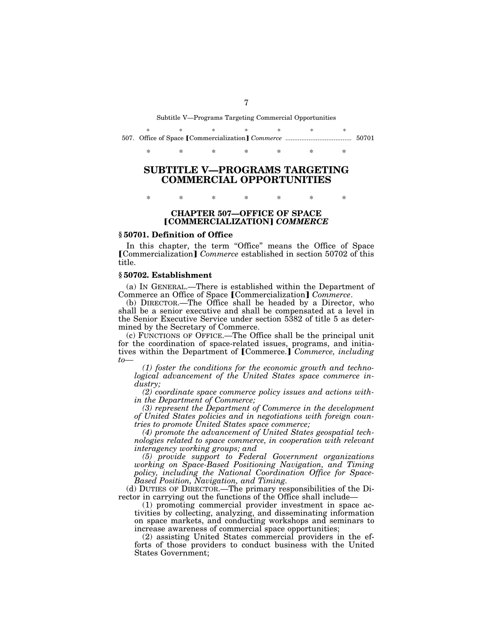Subtitle V—Programs Targeting Commercial Opportunities

|  | $\star$ |  |  |  |
|--|---------|--|--|--|
|  |         |  |  |  |

# **SUBTITLE V—PROGRAMS TARGETING COMMERCIAL OPPORTUNITIES**

### **CHAPTER 507—OFFICE OF SPACE**  ø**COMMERCIALIZATION**¿ *COMMERCE*

\* \* \* \* \* \* \*

#### **§ 50701. Definition of Office**

In this chapter, the term "Office" means the Office of Space **[Commercialization]** *Commerce* established in section 50702 of this title.

#### **§ 50702. Establishment**

(a) IN GENERAL.—There is established within the Department of Commerce an Office of Space [Commercialization] *Commerce*.

(b) DIRECTOR.—The Office shall be headed by a Director, who shall be a senior executive and shall be compensated at a level in the Senior Executive Service under section 5382 of title 5 as determined by the Secretary of Commerce.

(c) FUNCTIONS OF OFFICE.—The Office shall be the principal unit for the coordination of space-related issues, programs, and initiatives within the Department of [Commerce.] Commerce, *including to—* 

*(1) foster the conditions for the economic growth and technological advancement of the United States space commerce industry;* 

*(2) coordinate space commerce policy issues and actions within the Department of Commerce;* 

*(3) represent the Department of Commerce in the development of United States policies and in negotiations with foreign countries to promote United States space commerce;* 

*(4) promote the advancement of United States geospatial technologies related to space commerce, in cooperation with relevant interagency working groups; and* 

*(5) provide support to Federal Government organizations working on Space-Based Positioning Navigation, and Timing policy, including the National Coordination Office for Space-Based Position, Navigation, and Timing.* 

(d) DUTIES OF DIRECTOR.—The primary responsibilities of the Director in carrying out the functions of the Office shall include—

(1) promoting commercial provider investment in space activities by collecting, analyzing, and disseminating information on space markets, and conducting workshops and seminars to increase awareness of commercial space opportunities;

(2) assisting United States commercial providers in the efforts of those providers to conduct business with the United States Government;

7